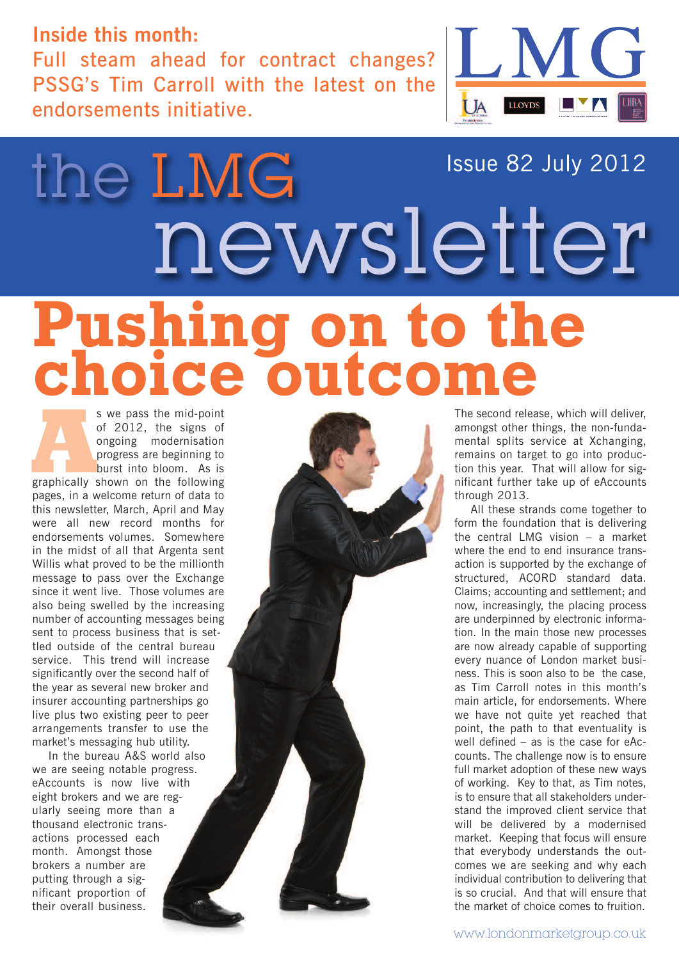#### **Inside this month:**

the LMG

Full steam ahead for contract changes? PSSG's Tim Carroll with the latest on the endorsements initiative.



#### Issue 82 July 2012

## newsletter **Pushing on to the choice outcome**

s we pass the mid-point<br>
of 2012, the signs of<br>
ongoing modernisation<br>
progress are beginning to<br>
burst into bloom. As is<br>
graphically shown on the following of 2012, the signs of ongoing modernisation progress are beginning to burst into bloom. As is pages, in a welcome return of data to this newsletter, March, April and May were all new record months for endorsements volumes. Somewhere in the midst of all that Argenta sent Willis what proved to be the millionth message to pass over the Exchange since it went live. Those volumes are also being swelled by the increasing number of accounting messages being sent to process business that is settled outside of the central bureau service. This trend will increase significantly over the second half of the year as several new broker and insurer accounting partnerships go live plus two existing peer to peer arrangements transfer to use the market's messaging hub utility.

In the bureau A&S world also we are seeing notable progress. eAccounts is now live with eight brokers and we are regularly seeing more than a thousand electronic transactions processed each month. Amongst those brokers a number are putting through a significant proportion of their overall business.



The second release, which will deliver, amongst other things, the non-fundamental splits service at Xchanging, remains on target to go into production this year. That will allow for significant further take up of eAccounts through 2013.

All these strands come together to form the foundation that is delivering the central LMG vision – a market where the end to end insurance transaction is supported by the exchange of structured, ACORD standard data. Claims; accounting and settlement; and now, increasingly, the placing process are underpinned by electronic information. In the main those new processes are now already capable of supporting every nuance of London market business. This is soon also to be the case, as Tim Carroll notes in this month's main article, for endorsements. Where we have not quite yet reached that point, the path to that eventuality is well defined – as is the case for eAccounts. The challenge now is to ensure full market adoption of these new ways of working. Key to that, as Tim notes, is to ensure that all stakeholders understand the improved client service that will be delivered by a modernised market. Keeping that focus will ensure that everybody understands the outcomes we are seeking and why each individual contribution to delivering that is so crucial. And that will ensure that the market of choice comes to fruition.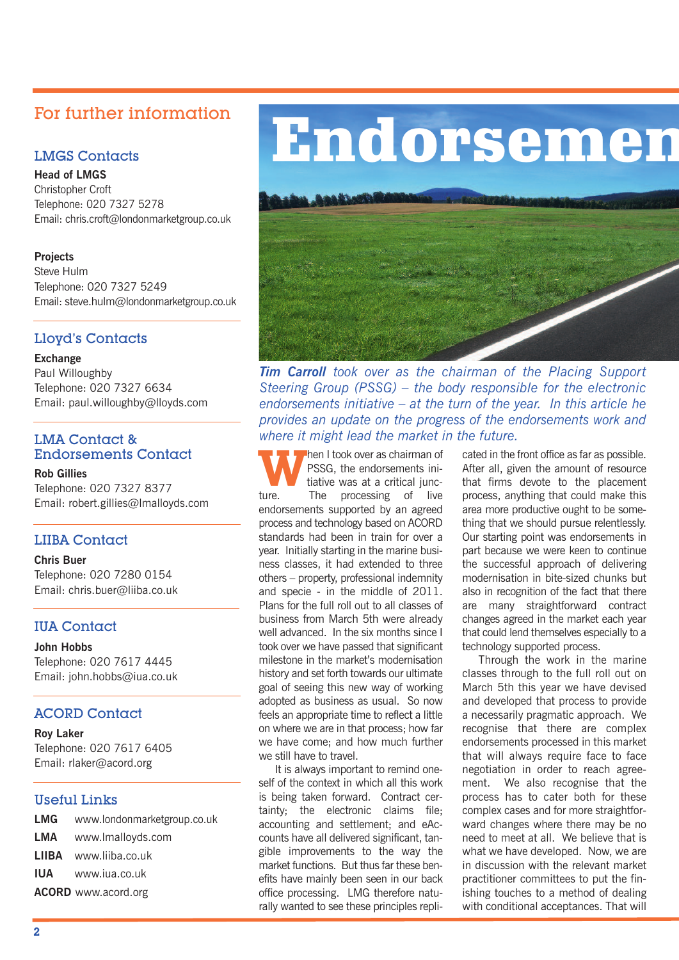#### For further information

#### LMGS Contacts

**Head of LMGS** Christopher Croft Telephone: 020 7327 5278 Email: chris.croft@londonmarketgroup.co.uk

#### **Projects**

Steve Hulm Telephone: 020 7327 5249 Email: steve.hulm@londonmarketgroup.co.uk

#### Lloyd's Contacts

#### **Exchange**

Paul Willoughby Telephone: 020 7327 6634 Email: paul.willoughby@lloyds.com

#### LMA Contact & Endorsements Contact

**Rob Gillies** Telephone: 020 7327 8377 Email: robert.gillies@lmalloyds.com

#### LIIBA Contact

**Chris Buer** Telephone: 020 7280 0154 Email: chris.buer@liiba.co.uk

#### IUA Contact

**John Hobbs** Telephone: 020 7617 4445 Email: john.hobbs@iua.co.uk

#### ACORD Contact

**Roy Laker** Telephone: 020 7617 6405 Email: rlaker@acord.org

#### Useful Links

| <b>LMG</b> www.londonmarketgroup.co.uk |
|----------------------------------------|
| <b>LMA</b> www.lmalloyds.com           |
| LIIBA www.liiba.co.uk                  |
| <b>IUA</b> www.iua.co.uk               |
| <b>ACORD</b> www.acord.org             |

## **Endorsemen**



*Tim Carroll took over as the chairman of the Placing Support Steering Group (PSSG) – the body responsible for the electronic endorsements initiative – at the turn of the year. In this article he provides an update on the progress of the endorsements work and where it might lead the market in the future.*

**W** hen I took over as chairman of<br>tiative was at a critical juncture PSSG, the endorsements initiative was at a critical juncture. The processing of live endorsements supported by an agreed process and technology based on ACORD standards had been in train for over a year. Initially starting in the marine business classes, it had extended to three others – property, professional indemnity and specie - in the middle of 2011. Plans for the full roll out to all classes of business from March 5th were already well advanced. In the six months since I took over we have passed that significant milestone in the market's modernisation history and set forth towards our ultimate goal of seeing this new way of working adopted as business as usual. So now feels an appropriate time to reflect a little on where we are in that process; how far we have come; and how much further we still have to travel.

It is always important to remind oneself of the context in which all this work is being taken forward. Contract certainty; the electronic claims file; accounting and settlement; and eAccounts have all delivered significant, tangible improvements to the way the market functions. But thus far these benefits have mainly been seen in our back office processing. LMG therefore naturally wanted to see these principles replicated in the front office as far as possible. After all, given the amount of resource that firms devote to the placement process, anything that could make this area more productive ought to be something that we should pursue relentlessly. Our starting point was endorsements in part because we were keen to continue the successful approach of delivering modernisation in bite-sized chunks but also in recognition of the fact that there are many straightforward contract changes agreed in the market each year that could lend themselves especially to a technology supported process.

Through the work in the marine classes through to the full roll out on March 5th this year we have devised and developed that process to provide a necessarily pragmatic approach. We recognise that there are complex endorsements processed in this market that will always require face to face negotiation in order to reach agreement. We also recognise that the process has to cater both for these complex cases and for more straightforward changes where there may be no need to meet at all. We believe that is what we have developed. Now, we are in discussion with the relevant market practitioner committees to put the finishing touches to a method of dealing with conditional acceptances. That will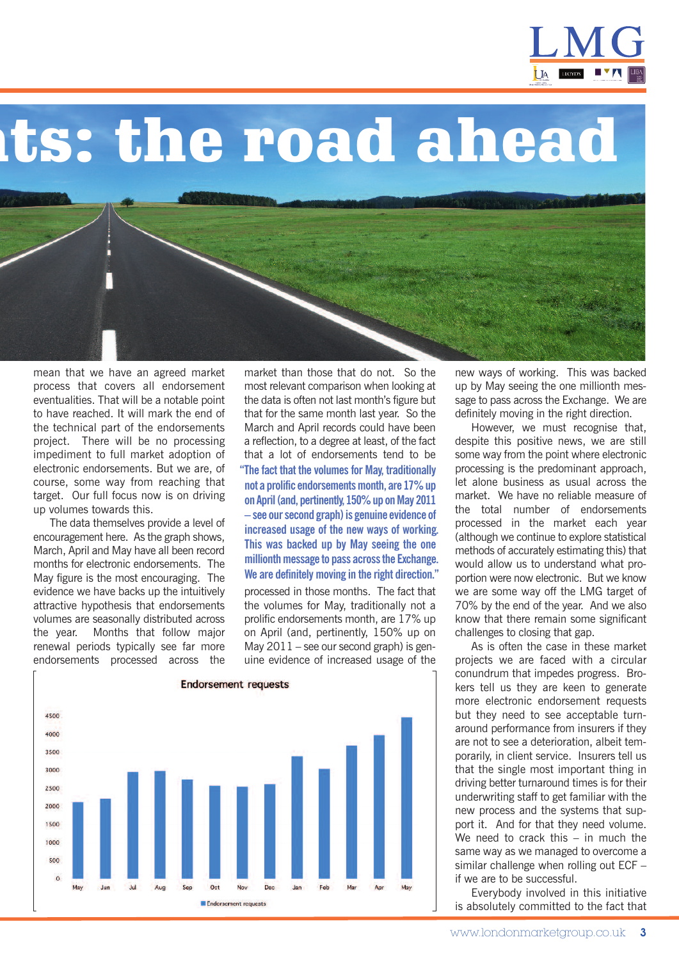

**nts: the road ahead**

mean that we have an agreed market process that covers all endorsement eventualities. That will be a notable point to have reached. It will mark the end of the technical part of the endorsements project. There will be no processing impediment to full market adoption of electronic endorsements. But we are, of course, some way from reaching that target. Our full focus now is on driving up volumes towards this.

The data themselves provide a level of encouragement here. As the graph shows, March, April and May have all been record months for electronic endorsements. The May figure is the most encouraging. The evidence we have backs up the intuitively attractive hypothesis that endorsements volumes are seasonally distributed across the year. Months that follow major renewal periods typically see far more endorsements processed across the

market than those that do not. So the most relevant comparison when looking at the data is often not last month's figure but that for the same month last year. So the March and April records could have been a reflection, to a degree at least, of the fact that a lot of endorsements tend to be **"The fact that the volumesfor May, traditionally not a prolific endorsementsmonth, are 17%up on April(and, pertinently, 150%up onMay 2011 – see oursecond graph)is genuine evidence of increased usage of the new ways of working. This was backed up by May seeing the one millionth message to pass across the Exchange. We are definitelymoving in the right direction."**

processed in those months. The fact that the volumes for May, traditionally not a prolific endorsements month, are 17% up on April (and, pertinently, 150% up on May  $2011$  – see our second graph) is genuine evidence of increased usage of the



new ways of working. This was backed up by May seeing the one millionth message to pass across the Exchange. We are definitely moving in the right direction.

However, we must recognise that, despite this positive news, we are still some way from the point where electronic processing is the predominant approach, let alone business as usual across the market. We have no reliable measure of the total number of endorsements processed in the market each year (although we continue to explore statistical methods of accurately estimating this) that would allow us to understand what proportion were now electronic. But we know we are some way off the LMG target of 70% by the end of the year. And we also know that there remain some significant challenges to closing that gap.

As is often the case in these market projects we are faced with a circular conundrum that impedes progress. Brokers tell us they are keen to generate more electronic endorsement requests but they need to see acceptable turnaround performance from insurers if they are not to see a deterioration, albeit temporarily, in client service. Insurers tell us that the single most important thing in driving better turnaround times is for their underwriting staff to get familiar with the new process and the systems that support it. And for that they need volume. We need to crack this – in much the same way as we managed to overcome a similar challenge when rolling out ECF – if we are to be successful.

Everybody involved in this initiative is absolutely committed to the fact that